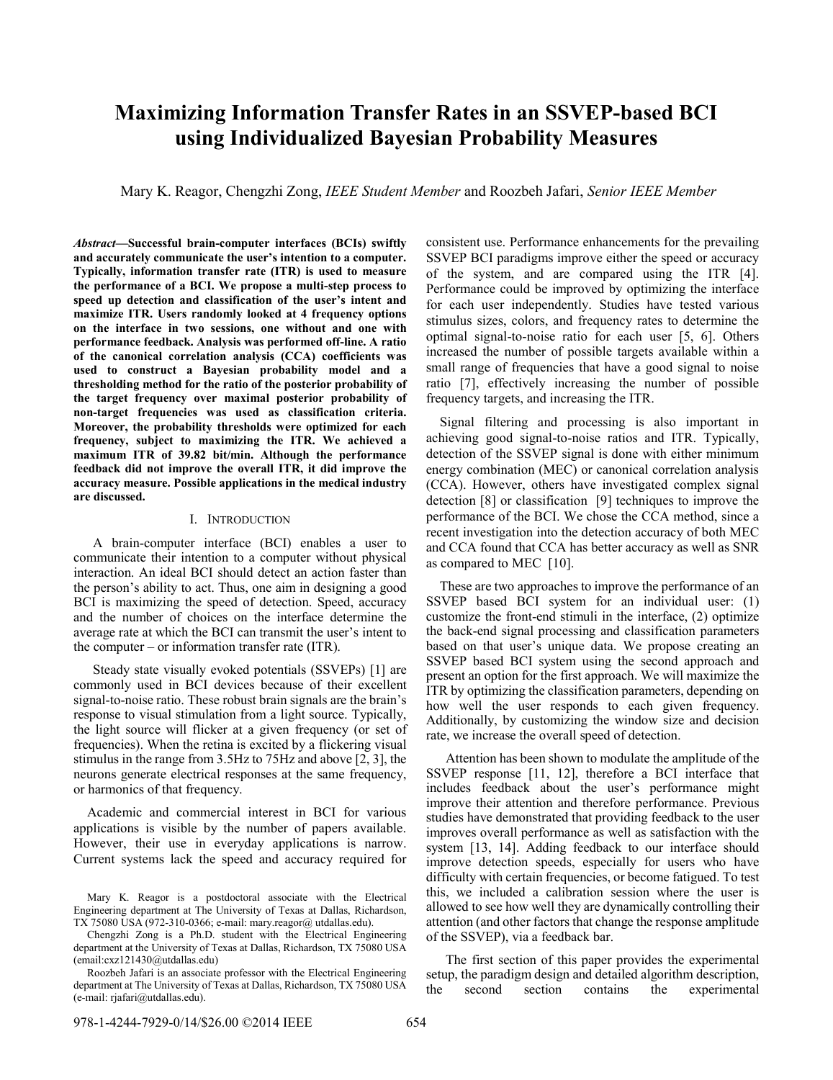# Maximizing Information Transfer Rates in an SSVEP-based BCI using Individualized Bayesian Probability Measures

Mary K. Reagor, Chengzhi Zong, *IEEE Student Member* and Roozbeh Jafari, *Senior IEEE Member*

*Abstract*—Successful brain-computer interfaces (BCIs) swiftly and accurately communicate the user's intention to a computer. Typically, information transfer rate (ITR) is used to measure the performance of a BCI. We propose a multi-step process to speed up detection and classification of the user's intent and maximize ITR. Users randomly looked at 4 frequency options on the interface in two sessions, one without and one with performance feedback. Analysis was performed off-line. A ratio of the canonical correlation analysis (CCA) coefficients was used to construct a Bayesian probability model and a thresholding method for the ratio of the posterior probability of the target frequency over maximal posterior probability of non-target frequencies was used as classification criteria. Moreover, the probability thresholds were optimized for each frequency, subject to maximizing the ITR. We achieved a maximum ITR of 39.82 bit/min. Although the performance feedback did not improve the overall ITR, it did improve the accuracy measure. Possible applications in the medical industry are discussed.

# I. INTRODUCTION

A brain-computer interface (BCI) enables a user to communicate their intention to a computer without physical interaction. An ideal BCI should detect an action faster than the person's ability to act. Thus, one aim in designing a good BCI is maximizing the speed of detection. Speed, accuracy and the number of choices on the interface determine the average rate at which the BCI can transmit the user's intent to the computer – or information transfer rate (ITR).

Steady state visually evoked potentials (SSVEPs) [1] are commonly used in BCI devices because of their excellent signal-to-noise ratio. These robust brain signals are the brain's response to visual stimulation from a light source. Typically, the light source will flicker at a given frequency (or set of frequencies). When the retina is excited by a flickering visual stimulus in the range from 3.5Hz to 75Hz and above [2, 3], the neurons generate electrical responses at the same frequency, or harmonics of that frequency.

Academic and commercial interest in BCI for various applications is visible by the number of papers available. However, their use in everyday applications is narrow. Current systems lack the speed and accuracy required for

Chengzhi Zong is a Ph.D. student with the Electrical Engineering department at the University of Texas at Dallas, Richardson, TX 75080 USA (email:cxz121430@utdallas.edu)

Roozbeh Jafari is an associate professor with the Electrical Engineering department at The University of Texas at Dallas, Richardson, TX 75080 USA (e-mail: rjafari@utdallas.edu).

consistent use. Performance enhancements for the prevailing SSVEP BCI paradigms improve either the speed or accuracy of the system, and are compared using the ITR [4]. Performance could be improved by optimizing the interface for each user independently. Studies have tested various stimulus sizes, colors, and frequency rates to determine the optimal signal-to-noise ratio for each user [5, 6]. Others increased the number of possible targets available within a small range of frequencies that have a good signal to noise ratio [7], effectively increasing the number of possible frequency targets, and increasing the ITR.

Signal filtering and processing is also important in achieving good signal-to-noise ratios and ITR. Typically, detection of the SSVEP signal is done with either minimum energy combination (MEC) or canonical correlation analysis (CCA). However, others have investigated complex signal detection [8] or classification [9] techniques to improve the performance of the BCI. We chose the CCA method, since a recent investigation into the detection accuracy of both MEC and CCA found that CCA has better accuracy as well as SNR as compared to MEC [10].

These are two approaches to improve the performance of an SSVEP based BCI system for an individual user: (1) customize the front-end stimuli in the interface, (2) optimize the back-end signal processing and classification parameters based on that user's unique data. We propose creating an SSVEP based BCI system using the second approach and present an option for the first approach. We will maximize the ITR by optimizing the classification parameters, depending on how well the user responds to each given frequency. Additionally, by customizing the window size and decision rate, we increase the overall speed of detection.

Attention has been shown to modulate the amplitude of the SSVEP response [11, 12], therefore a BCI interface that includes feedback about the user's performance might improve their attention and therefore performance. Previous studies have demonstrated that providing feedback to the user improves overall performance as well as satisfaction with the system [13, 14]. Adding feedback to our interface should improve detection speeds, especially for users who have difficulty with certain frequencies, or become fatigued. To test this, we included a calibration session where the user is allowed to see how well they are dynamically controlling their attention (and other factors that change the response amplitude of the SSVEP), via a feedback bar.

The first section of this paper provides the experimental setup, the paradigm design and detailed algorithm description, the second section contains the experimental

Mary K. Reagor is a postdoctoral associate with the Electrical Engineering department at The University of Texas at Dallas, Richardson, TX 75080 USA (972-310-0366; e-mail: mary.reagor@ utdallas.edu).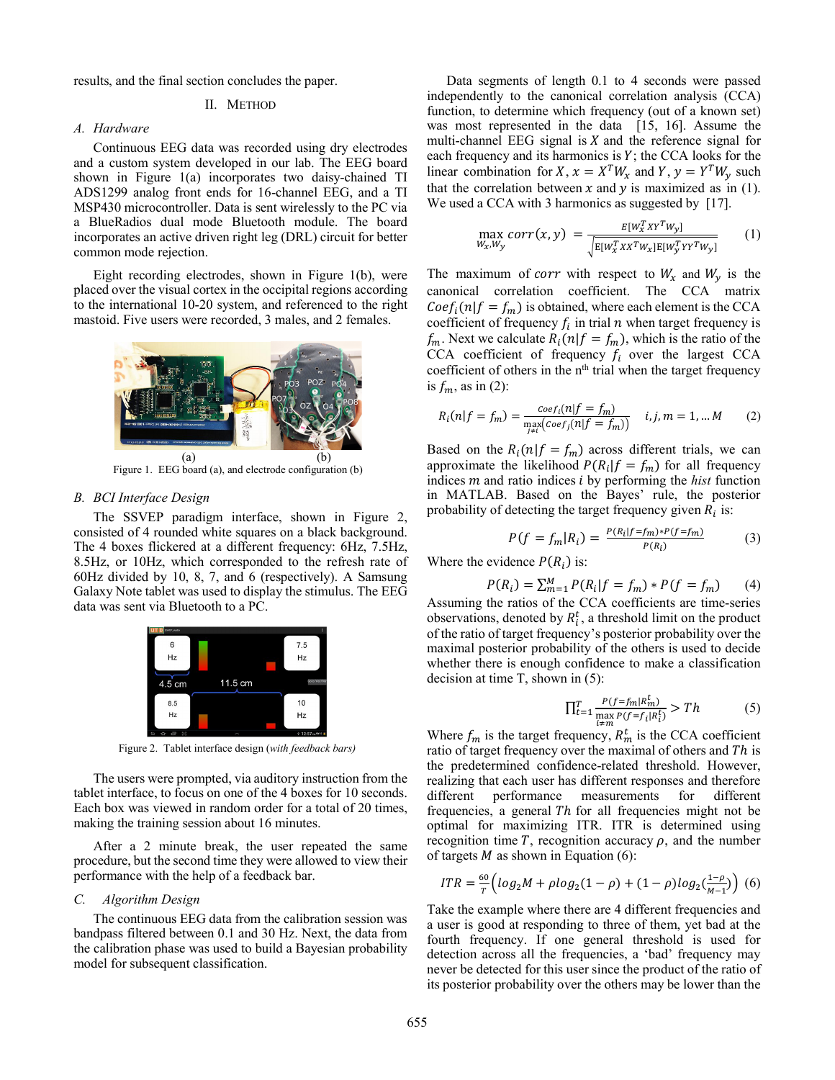results, and the final section concludes the paper.

# II. METHOD

### *A. Hardware*

Continuous EEG data was recorded using dry electrodes and a custom system developed in our lab. The EEG board shown in Figure 1(a) incorporates two daisy-chained TI ADS1299 analog front ends for 16-channel EEG, and a TI MSP430 microcontroller. Data is sent wirelessly to the PC via a BlueRadios dual mode Bluetooth module. The board incorporates an active driven right leg (DRL) circuit for better common mode rejection.

Eight recording electrodes, shown in Figure 1(b), were placed over the visual cortex in the occipital regions according to the international 10-20 system, and referenced to the right mastoid. Five users were recorded, 3 males, and 2 females.



Figure 1. EEG board (a), and electrode configuration (b)

# *B. BCI Interface Design*

The SSVEP paradigm interface, shown in Figure 2, consisted of 4 rounded white squares on a black background. The 4 boxes flickered at a different frequency: 6Hz, 7.5Hz, 8.5Hz, or 10Hz, which corresponded to the refresh rate of 60Hz divided by 10, 8, 7, and 6 (respectively). A Samsung Galaxy Note tablet was used to display the stimulus. The EEG data was sent via Bluetooth to a PC.



Figure 2. Tablet interface design (*with feedback bars)*

The users were prompted, via auditory instruction from the tablet interface, to focus on one of the 4 boxes for 10 seconds. Each box was viewed in random order for a total of 20 times, making the training session about 16 minutes.

After a 2 minute break, the user repeated the same procedure, but the second time they were allowed to view their performance with the help of a feedback bar.

# *C. Algorithm Design*

The continuous EEG data from the calibration session was bandpass filtered between 0.1 and 30 Hz. Next, the data from the calibration phase was used to build a Bayesian probability model for subsequent classification.

Data segments of length 0.1 to 4 seconds were passed independently to the canonical correlation analysis (CCA) function, to determine which frequency (out of a known set) was most represented in the data [15, 16]. Assume the multi-channel EEG signal is  $X$  and the reference signal for each frequency and its harmonics is  $Y$ ; the CCA looks for the linear combination for X,  $x = X^T W_x$  and Y,  $y = Y^T W_y$  such that the correlation between  $x$  and  $y$  is maximized as in (1). We used a CCA with 3 harmonics as suggested by [17].

$$
\max_{W_X, W_Y} corr(x, y) = \frac{E[W_X^T XY^T W_Y]}{\sqrt{E[W_X^T X X^T W_X] E[W_Y^T Y Y^T W_Y]}}
$$
(1)

The maximum of corr with respect to  $W_x$  and  $W_y$  is the canonical correlation coefficient. The CCA matrix  $Coef<sub>i</sub>(n|f = f<sub>m</sub>)$  is obtained, where each element is the CCA coefficient of frequency  $f_i$  in trial  $n$  when target frequency is  $f_m$ . Next we calculate  $R_i(n | f = f_m)$ , which is the ratio of the CCA coefficient of frequency  $f_i$  over the largest CCA coefficient of others in the  $n<sup>th</sup>$  trial when the target frequency is  $f_m$ , as in (2):

$$
R_i(n|f = f_m) = \frac{\cosh(n|f = f_m)}{\max_{j \neq i} (\cosh(jn|f = f_m))} \quad i, j, m = 1, \dots M \tag{2}
$$

Based on the  $R_i(n | f = f_m)$  across different trials, we can approximate the likelihood  $P(R_i | f = f_m)$  for all frequency indices  $m$  and ratio indices  $i$  by performing the *hist* function in MATLAB. Based on the Bayes' rule, the posterior probability of detecting the target frequency given  $R_i$  is:

$$
P(f = f_m | R_i) = \frac{P(R_i | f = f_m) * P(f = f_m)}{P(R_i)}
$$
(3)

Where the evidence  $P(R_i)$  is:

$$
P(R_i) = \sum_{m=1}^{M} P(R_i | f = f_m) * P(f = f_m)
$$
 (4)

Assuming the ratios of the CCA coefficients are time-series observations, denoted by  $R_i^t$ , a threshold limit on the product of the ratio of target frequency's posterior probability over the maximal posterior probability of the others is used to decide whether there is enough confidence to make a classification decision at time  $T$ , shown in  $(5)$ :

$$
\prod_{t=1}^{T} \frac{P(f=f_m|R_m^t)}{\max_{i \neq m} P(f=f_i|R_i^t)} > Th
$$
 (5)

Where  $f_m$  is the target frequency,  $R_m^t$  is the CCA coefficient ratio of target frequency over the maximal of others and  $Th$  is the predetermined confidence-related threshold. However, realizing that each user has different responses and therefore different performance measurements for different frequencies, a general  $Th$  for all frequencies might not be optimal for maximizing ITR. ITR is determined using recognition time  $T$ , recognition accuracy  $\rho$ , and the number of targets  $M$  as shown in Equation (6):

$$
ITR = \frac{60}{T} \left( \log_2 M + \rho \log_2 (1 - \rho) + (1 - \rho) \log_2 \left( \frac{1 - \rho}{M - 1} \right) \right)
$$
 (6)

Take the example where there are 4 different frequencies and a user is good at responding to three of them, yet bad at the fourth frequency. If one general threshold is used for detection across all the frequencies, a 'bad' frequency may never be detected for this user since the product of the ratio of its posterior probability over the others may be lower than the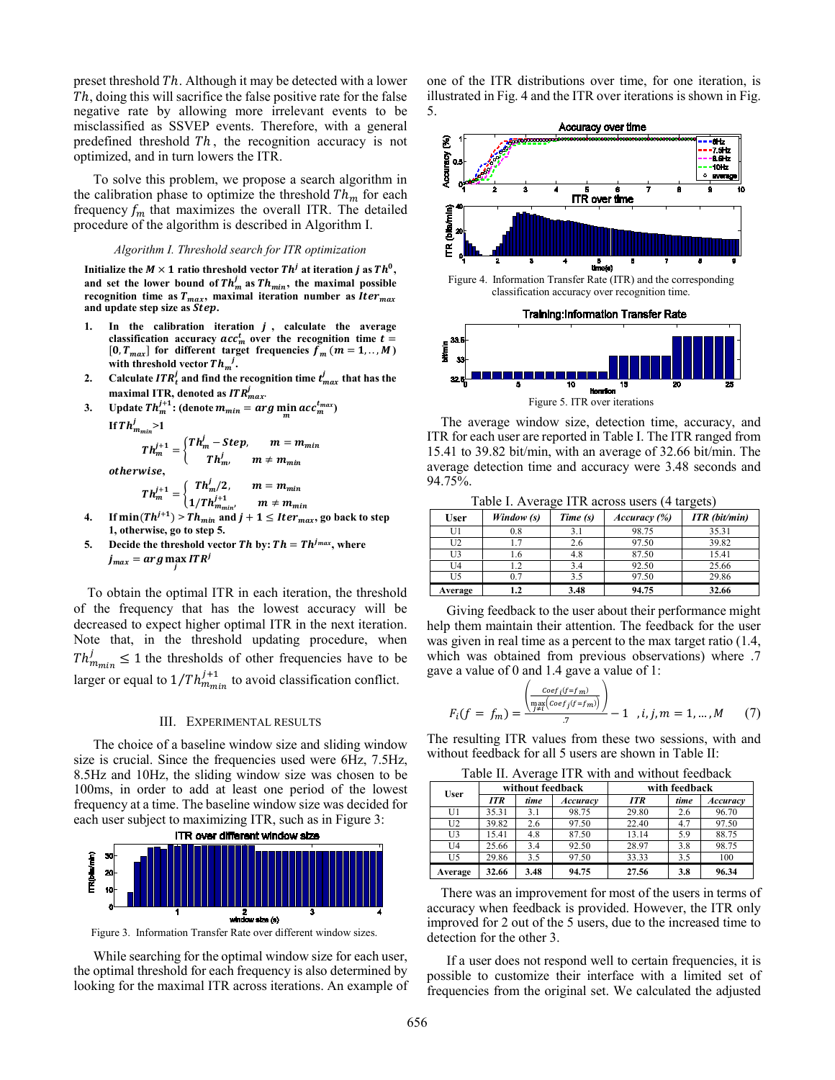preset threshold  $Th.$  Although it may be detected with a lower Th, doing this will sacrifice the false positive rate for the false negative rate by allowing more irrelevant events to be misclassified as SSVEP events. Therefore, with a general predefined threshold  $Th$ , the recognition accuracy is not optimized, and in turn lowers the ITR.

To solve this problem, we propose a search algorithm in the calibration phase to optimize the threshold  $Th<sub>m</sub>$  for each frequency  $f_m$  that maximizes the overall ITR. The detailed procedure of the algorithm is described in Algorithm I.

# *Algorithm I. Threshold search for ITR optimization*

Initialize the  $M \times 1$  ratio threshold vector  $Th^j$  at iteration *j* as  $Th^0$ , and set the lower bound of  $Th_m^j$  as  $Th_{min}$ , the maximal possible recognition time as  $T_{max}$ , maximal iteration number as  $Iter_{max}$ and update step size as Step.

- 1. In the calibration iteration  $j$ , calculate the average classification accuracy  $acc_m^t$  over the recognition time  $t =$  $[0, T_{max}]$  for different target frequencies  $\tilde{f}_m$   $(m = 1, ..., M)$ with threshold vector  $Th_m^j$ .
- with threshold vector  $I_{m}$ .<br>2. Calculate  $ITR_{\ell}^{j}$  and find the recognition time  $t_{max}^{j}$  that has the maximal ITR, denoted as  $ITR_{max}^j$ .
- 3. Update  $Th_m^{j+1}$ : (denote  $m_{min} = arg \min_m acc_m^{t_{max}}$ ) If  $Th_{m_{min}}^j>1$

$$
Th_m^{i_{min}} = \begin{cases} Th_m^j - Step, & m = m_{min} \\ Th_m^j, & m \neq m_{min} \end{cases}
$$
  
otherwise,  

$$
Th_m^{j+1} - \begin{cases} Th_m^j/2, & m = m_{min} \end{cases}
$$

$$
Th_m^{j+1} = \begin{cases} Th_m^j/2, & m = m_{min} \\ 1/Th_{m_{min'}}^{j+1} & m \neq m_{min} \end{cases}
$$

- 4. If  $\min(Th^{j+1}) > Th_{min}$  and  $j + 1 \leq Iter_{max}$ , go back to step 1, otherwise, go to step 5.
- 5. Decide the threshold vector Th by:  $Th = Th^{j_{max}}$ , where  $j_{max} = arg \max_{j} ITR^{j}$

To obtain the optimal ITR in each iteration, the threshold of the frequency that has the lowest accuracy will be decreased to expect higher optimal ITR in the next iteration. Note that, in the threshold updating procedure, when  $Th_{m_{min}}^j \leq 1$  the thresholds of other frequencies have to be larger or equal to  $1/Th_{m_{min}}^{j+1}$  to avoid classification conflict.

#### III. EXPERIMENTAL RESULTS

The choice of a baseline window size and sliding window size is crucial. Since the frequencies used were 6Hz, 7.5Hz, 8.5Hz and 10Hz, the sliding window size was chosen to be 100ms, in order to add at least one period of the lowest frequency at a time. The baseline window size was decided for each user subject to maximizing ITR, such as in Figure 3:



Figure 3. Information Transfer Rate over different window sizes.

While searching for the optimal window size for each user, the optimal threshold for each frequency is also determined by looking for the maximal ITR across iterations. An example of one of the ITR distributions over time, for one iteration, is illustrated in Fig. 4 and the ITR over iterations is shown in Fig. 5.



Figure 4. Information Transfer Rate (ITR) and the corresponding classification accuracy over recognition time.



The average window size, detection time, accuracy, and ITR for each user are reported in Table I. The ITR ranged from 15.41 to 39.82 bit/min, with an average of 32.66 bit/min. The average detection time and accuracy were 3.48 seconds and 94.75%.

Table I. Average ITR across users (4 targets)

| <b>User</b>    | Window $(s)$ | Time (s) | Accuracy (%) | ITR (bit/min) |
|----------------|--------------|----------|--------------|---------------|
| U1             | 0.8          |          | 98.75        | 35.31         |
| U2             | 17           | 2.6      | 97.50        | 39.82         |
| U <sub>3</sub> | l.6          | 4.8      | 87.50        | 15.41         |
| U4             | 1.2          | 3.4      | 92.50        | 25.66         |
| U5             | 0.7          | 3.5      | 97.50        | 29.86         |
| Average        | l.2          | 3.48     | 94.75        | 32.66         |

Giving feedback to the user about their performance might help them maintain their attention. The feedback for the user was given in real time as a percent to the max target ratio (1.4, which was obtained from previous observations) where .7 gave a value of 0 and 1.4 gave a value of 1:

$$
F_i(f = f_m) = \frac{\left(\frac{Coef_i(f = f_m)}{\max\{Coef_j(f = f_m)\}}\right)}{7} - 1, i, j, m = 1, ..., M \tag{7}
$$

The resulting ITR values from these two sessions, with and without feedback for all 5 users are shown in Table II:

Table II. Average ITR with and without feedback

| <b>User</b>    | without feedback |      | with feedback |            |      |          |
|----------------|------------------|------|---------------|------------|------|----------|
|                | <b>ITR</b>       | time | Accuracy      | <b>ITR</b> | time | Accuracy |
| U1             | 35.31            | 3.1  | 98.75         | 29.80      | 2.6  | 96.70    |
| U <sub>2</sub> | 39.82            | 2.6  | 97.50         | 22.40      | 4.7  | 97.50    |
| U <sub>3</sub> | 15.41            | 4.8  | 87.50         | 13.14      | 5.9  | 88.75    |
| U <sub>4</sub> | 25.66            | 3.4  | 92.50         | 28.97      | 3.8  | 98.75    |
| U <sub>5</sub> | 29.86            | 3.5  | 97.50         | 33.33      | 3.5  | 100      |
| Average        | 32.66            | 3.48 | 94.75         | 27.56      | 3.8  | 96.34    |

There was an improvement for most of the users in terms of accuracy when feedback is provided. However, the ITR only improved for 2 out of the 5 users, due to the increased time to detection for the other 3.

If a user does not respond well to certain frequencies, it is possible to customize their interface with a limited set of frequencies from the original set. We calculated the adjusted